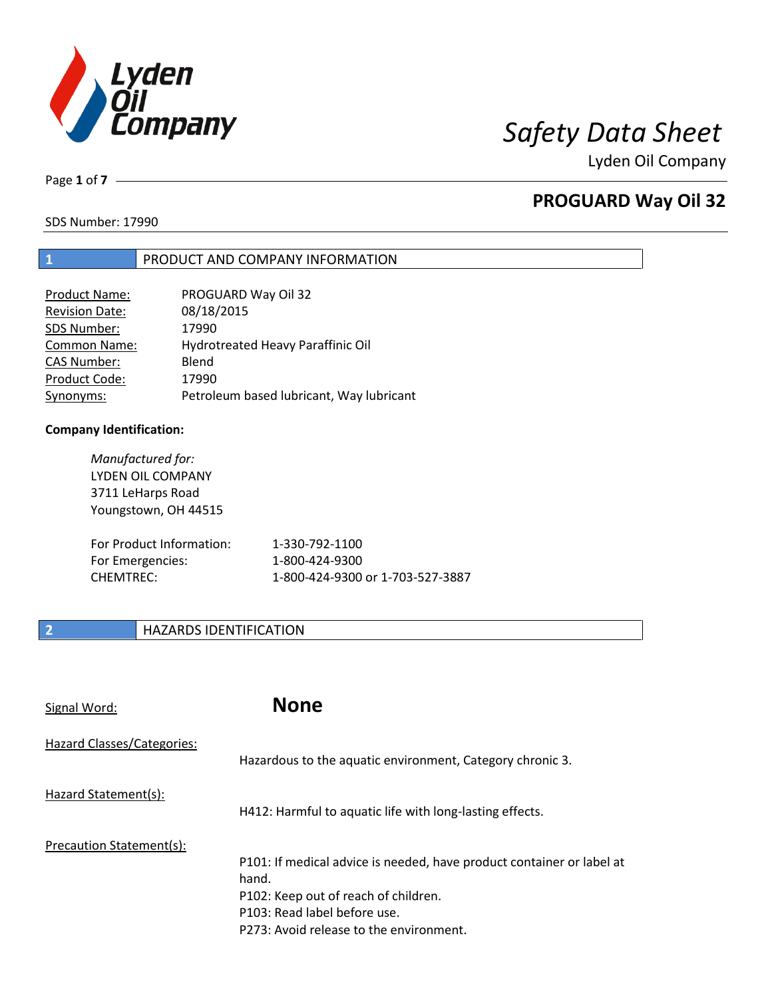

Lyden Oil Company

Page **1** of **7**

## **PROGUARD Way Oil 32**

SDS Number: 17990

### **1** PRODUCT AND COMPANY INFORMATION

| <b>Product Name:</b>  | PROGUARD Way Oil 32                      |
|-----------------------|------------------------------------------|
| <b>Revision Date:</b> | 08/18/2015                               |
| SDS Number:           | 17990                                    |
| <b>Common Name:</b>   | Hydrotreated Heavy Paraffinic Oil        |
| <b>CAS Number:</b>    | Blend                                    |
| Product Code:         | 17990                                    |
| Synonyms:             | Petroleum based lubricant, Way lubricant |

### **Company Identification:**

| Manufactured for:<br><b>LYDEN OIL COMPANY</b><br>3711 LeHarps Road<br>Youngstown, OH 44515 |                                  |
|--------------------------------------------------------------------------------------------|----------------------------------|
| For Product Information:                                                                   | 1-330-792-1100                   |
| For Emergencies:                                                                           | 1-800-424-9300                   |
| CHFMTRFC:                                                                                  | 1-800-424-9300 or 1-703-527-3887 |

### **2 HAZARDS IDENTIFICATION**

| Signal Word:               | <b>None</b>                                                                                                                                                                                       |
|----------------------------|---------------------------------------------------------------------------------------------------------------------------------------------------------------------------------------------------|
| Hazard Classes/Categories: | Hazardous to the aquatic environment, Category chronic 3.                                                                                                                                         |
| Hazard Statement(s):       | H412: Harmful to aquatic life with long-lasting effects.                                                                                                                                          |
| Precaution Statement(s):   | P101: If medical advice is needed, have product container or label at<br>hand.<br>P102: Keep out of reach of children.<br>P103: Read label before use.<br>P273: Avoid release to the environment. |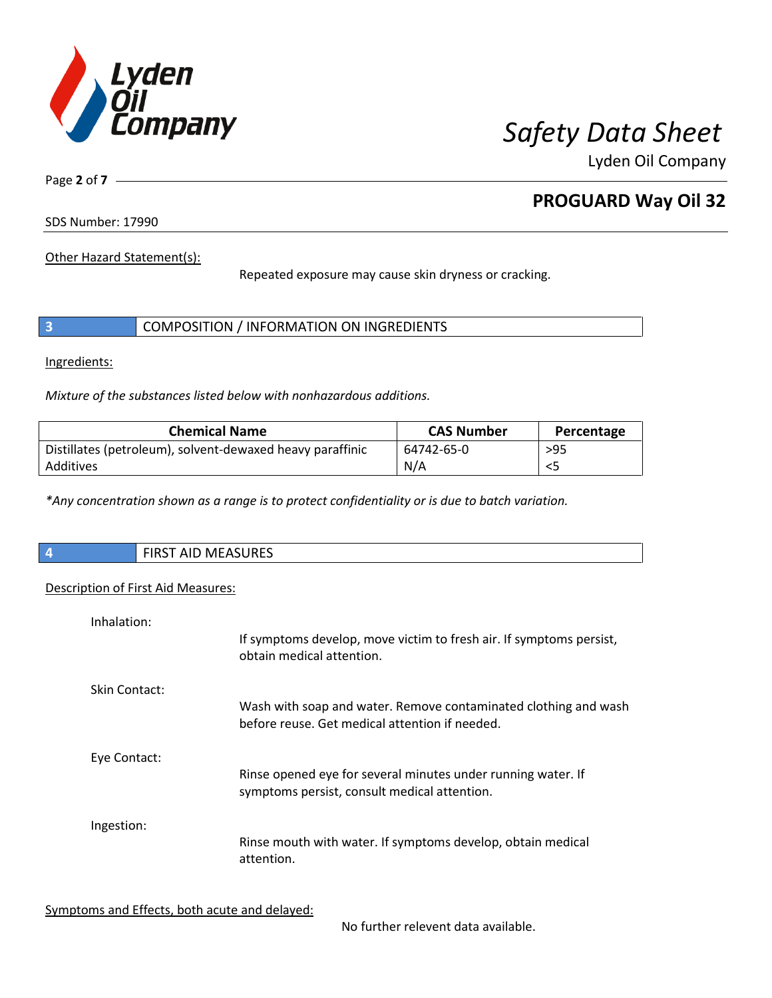

Lyden Oil Company

Page **2** of **7**

# **PROGUARD Way Oil 32**

SDS Number: 17990

Other Hazard Statement(s):

Repeated exposure may cause skin dryness or cracking.

|  | COMPOSITION / INFORMATION ON INGREDIENTS |
|--|------------------------------------------|
|--|------------------------------------------|

Ingredients:

 $\overline{\phantom{a}}$ 

*Mixture of the substances listed below with nonhazardous additions.*

| <b>Chemical Name</b>                                      | <b>CAS Number</b> | Percentage |
|-----------------------------------------------------------|-------------------|------------|
| Distillates (petroleum), solvent-dewaxed heavy paraffinic | 64742-65-0        | $>95$      |
| Additives                                                 | N/A               |            |

*\*Any concentration shown as a range is to protect confidentiality or is due to batch variation.*

| $\vert$ 4 | <b>MEASURES</b><br>, FIRST<br>AIL |
|-----------|-----------------------------------|
|           |                                   |

### Description of First Aid Measures:

| Inhalation:          | If symptoms develop, move victim to fresh air. If symptoms persist,<br>obtain medical attention.                  |
|----------------------|-------------------------------------------------------------------------------------------------------------------|
| <b>Skin Contact:</b> | Wash with soap and water. Remove contaminated clothing and wash<br>before reuse. Get medical attention if needed. |
| Eye Contact:         | Rinse opened eye for several minutes under running water. If<br>symptoms persist, consult medical attention.      |
| Ingestion:           | Rinse mouth with water. If symptoms develop, obtain medical<br>attention.                                         |

Symptoms and Effects, both acute and delayed:

No further relevent data available.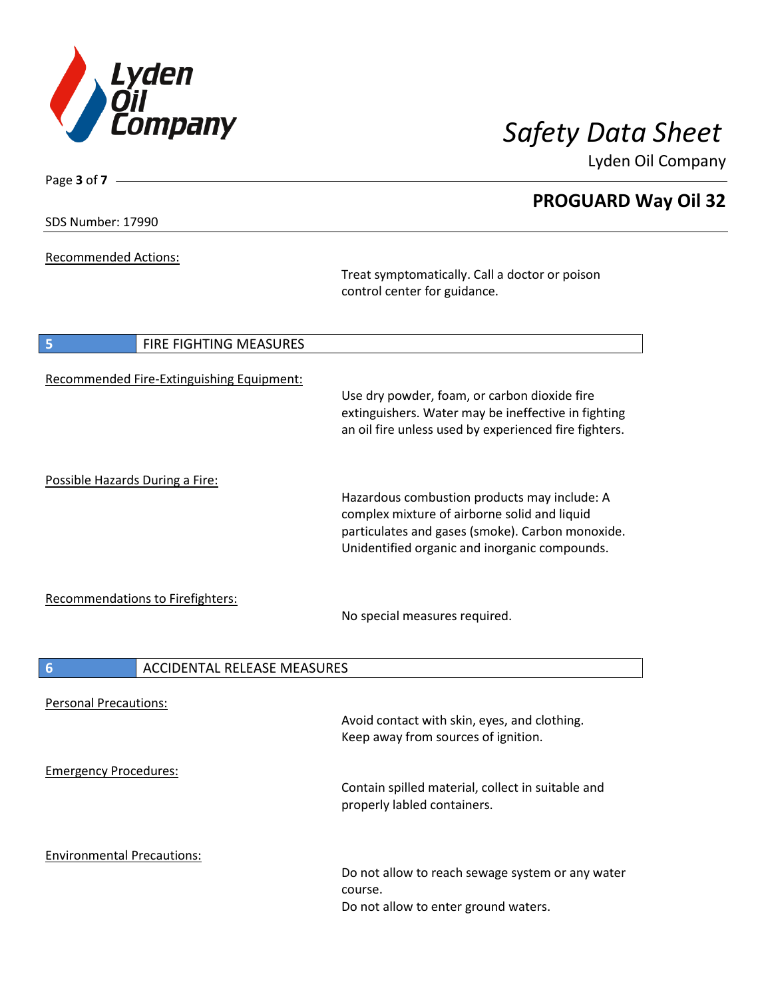

Lyden Oil Company

| SDS Number: 17990 |  |
|-------------------|--|
|-------------------|--|

Page **3** of **7**

Recommended Actions:

Treat symptomatically. Call a doctor or poison control center for guidance.

| <b>FIRE FIGHTING MEASURES</b><br>5                    |                                                                                                                                                                                                   |
|-------------------------------------------------------|---------------------------------------------------------------------------------------------------------------------------------------------------------------------------------------------------|
| Recommended Fire-Extinguishing Equipment:             | Use dry powder, foam, or carbon dioxide fire<br>extinguishers. Water may be ineffective in fighting<br>an oil fire unless used by experienced fire fighters.                                      |
| Possible Hazards During a Fire:                       | Hazardous combustion products may include: A<br>complex mixture of airborne solid and liquid<br>particulates and gases (smoke). Carbon monoxide.<br>Unidentified organic and inorganic compounds. |
| Recommendations to Firefighters:                      | No special measures required.                                                                                                                                                                     |
| $6\phantom{1}6$<br><b>ACCIDENTAL RELEASE MEASURES</b> |                                                                                                                                                                                                   |
| <b>Personal Precautions:</b>                          | Avoid contact with skin, eyes, and clothing.<br>Keep away from sources of ignition.                                                                                                               |
| <b>Emergency Procedures:</b>                          | Contain spilled material, collect in suitable and<br>properly labled containers.                                                                                                                  |
| <b>Environmental Precautions:</b>                     | Do not allow to reach sewage system or any water<br>course.<br>Do not allow to enter ground waters.                                                                                               |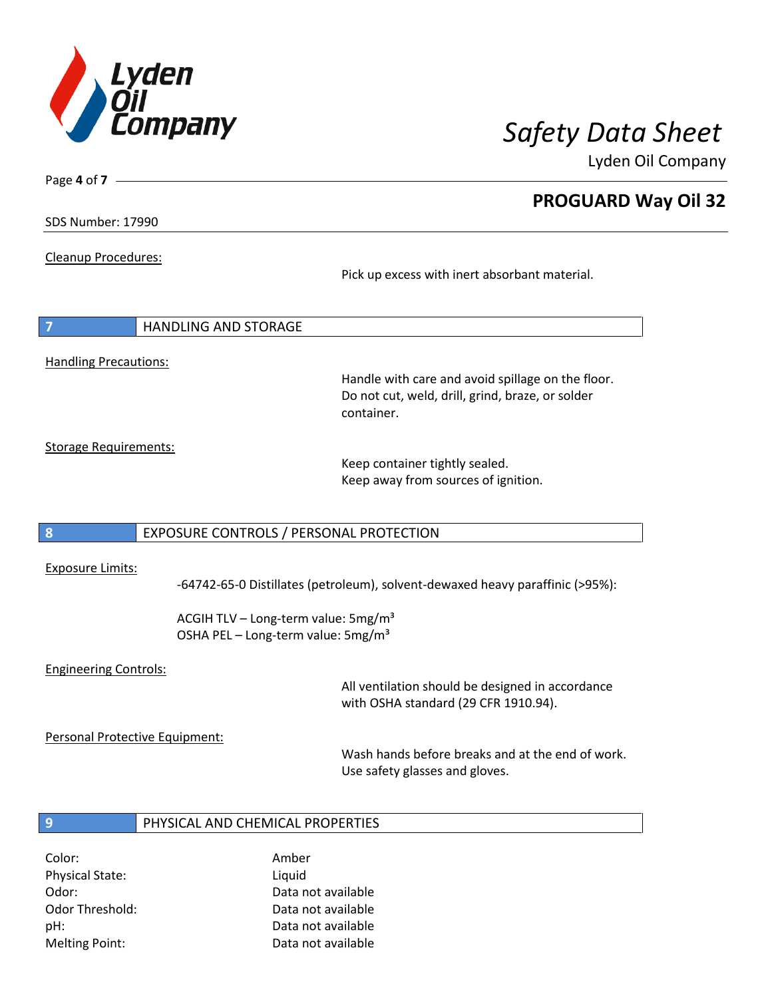

Lyden Oil Company

SDS Number: 17990

Page **4** of **7**

Cleanup Procedures:

Pick up excess with inert absorbant material.

| $\overline{7}$               | I HANDLING AND STORAGE |
|------------------------------|------------------------|
|                              |                        |
| <b>Handling Precautions:</b> |                        |

Handle with care and avoid spillage on the floor. Do not cut, weld, drill, grind, braze, or solder container.

Storage Requirements:

Keep container tightly sealed. Keep away from sources of ignition.

### **8** EXPOSURE CONTROLS / PERSONAL PROTECTION

### Exposure Limits:

-64742-65-0 Distillates (petroleum), solvent-dewaxed heavy paraffinic (>95%):

ACGIH TLV – Long-term value: 5mg/m<sup>3</sup> OSHA PEL - Long-term value: 5mg/m<sup>3</sup>

### Engineering Controls:

All ventilation should be designed in accordance with OSHA standard (29 CFR 1910.94).

Personal Protective Equipment:

Wash hands before breaks and at the end of work. Use safety glasses and gloves.

### **9** PHYSICAL AND CHEMICAL PROPERTIES

Color: Amber Physical State: Liquid

Odor: Data not available Odor Threshold: Data not available pH: Data not available Melting Point: Data not available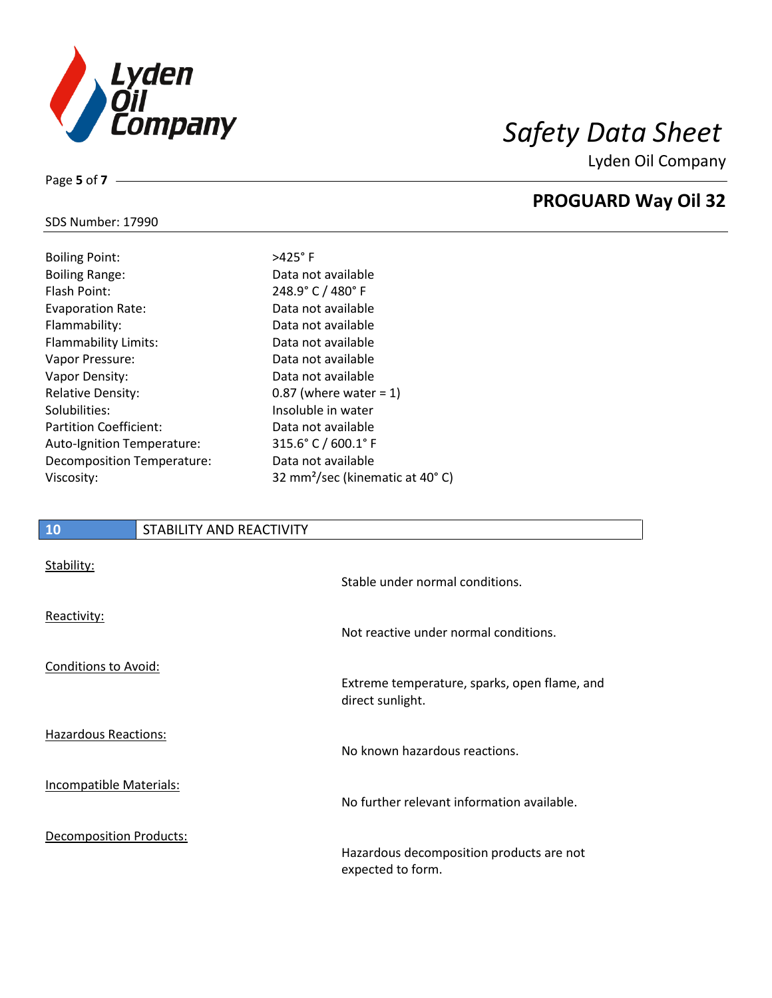

Lyden Oil Company

### SDS Number: 17990

Page **5** of **7**

| <b>Boiling Point:</b>         |
|-------------------------------|
| <b>Boiling Range:</b>         |
| <b>Flash Point:</b>           |
| <b>Evaporation Rate:</b>      |
| Flammability:                 |
| <b>Flammability Limits:</b>   |
| Vapor Pressure:               |
| Vapor Density:                |
| <b>Relative Density:</b>      |
| Solubilities:                 |
| <b>Partition Coefficient:</b> |
| Auto-Ignition Temperature:    |
| Decomposition Temperature:    |
| Viscosity:                    |

### $>425^\circ$  F Data not available 248.9° C / 480° F Data not available Data not available Data not available Data not available Data not available 0.87 (where water  $= 1$ ) Insoluble in water Data not available  $315.6°$  C / 600.1° F Data not available 32 mm<sup>2</sup>/sec (kinematic at 40° C)

# **10** STABILITY AND REACTIVITY Stability: Stable under normal conditions. Reactivity: Not reactive under normal conditions. Conditions to Avoid: Extreme temperature, sparks, open flame, and direct sunlight. Hazardous Reactions: No known hazardous reactions. Incompatible Materials: No further relevant information available. Decomposition Products: Hazardous decomposition products are not expected to form.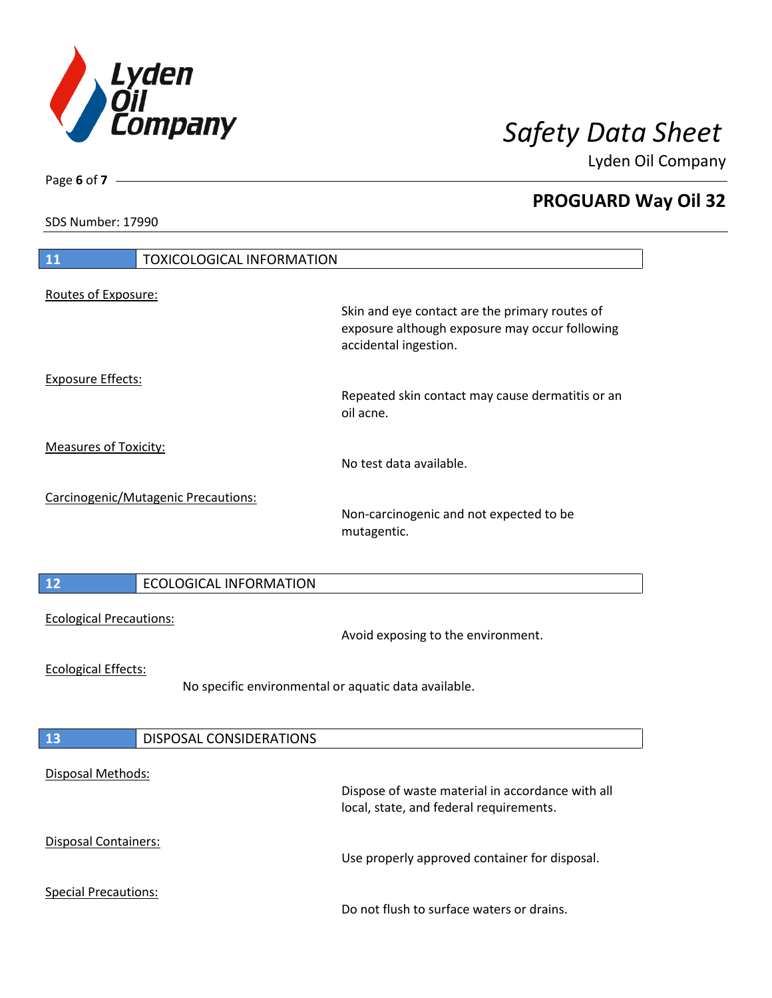

Lyden Oil Company

SDS Number: 17990

Page **6** of **7**

| <b>11</b><br><b>TOXICOLOGICAL INFORMATION</b>                                      |                                                                                                                           |
|------------------------------------------------------------------------------------|---------------------------------------------------------------------------------------------------------------------------|
| Routes of Exposure:                                                                |                                                                                                                           |
|                                                                                    | Skin and eye contact are the primary routes of<br>exposure although exposure may occur following<br>accidental ingestion. |
| <b>Exposure Effects:</b>                                                           | Repeated skin contact may cause dermatitis or an<br>oil acne.                                                             |
| <b>Measures of Toxicity:</b>                                                       | No test data available.                                                                                                   |
| Carcinogenic/Mutagenic Precautions:                                                | Non-carcinogenic and not expected to be<br>mutagentic.                                                                    |
| $12$<br><b>ECOLOGICAL INFORMATION</b>                                              |                                                                                                                           |
| <b>Ecological Precautions:</b>                                                     | Avoid exposing to the environment.                                                                                        |
| <b>Ecological Effects:</b><br>No specific environmental or aquatic data available. |                                                                                                                           |
| 13<br>DISPOSAL CONSIDERATIONS                                                      |                                                                                                                           |
| Disposal Methods:                                                                  |                                                                                                                           |
|                                                                                    | Dispose of waste material in accordance with all<br>local, state, and federal requirements.                               |
| Disposal Containers:                                                               | Use properly approved container for disposal.                                                                             |
| <b>Special Precautions:</b>                                                        | Do not flush to surface waters or drains.                                                                                 |